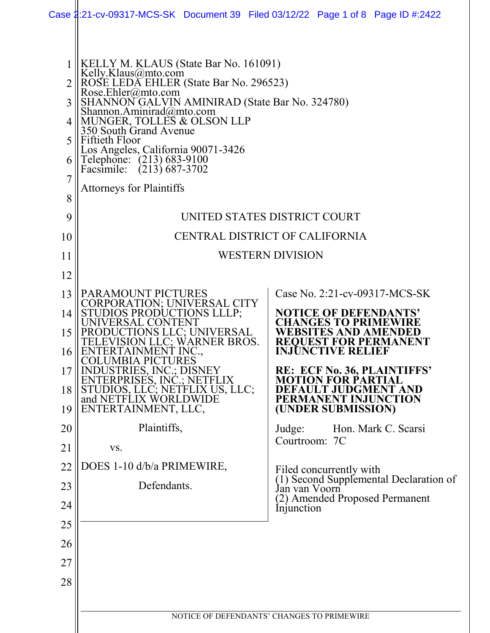|                            | Case 2:21-cv-09317-MCS-SK Document 39 Filed 03/12/22 Page 1 of 8 Page ID #:2422                                                                                                                                                                                                                                                                                                                                         |                                            |  |                             |                                                               |                                        |  |
|----------------------------|-------------------------------------------------------------------------------------------------------------------------------------------------------------------------------------------------------------------------------------------------------------------------------------------------------------------------------------------------------------------------------------------------------------------------|--------------------------------------------|--|-----------------------------|---------------------------------------------------------------|----------------------------------------|--|
| 3<br>5<br>6<br>7<br>8<br>9 | KELLY M. KLAUS (State Bar No. 161091)<br>Kelly.Klaus@mto.com<br>ROSE LEDA EHLER (State Bar No. 296523)<br>Rose.Ehler@mto.com<br>SHANNON GALVIN AMINIRAD (State Bar No. 324780)<br>Shannon.Aminirad@mto.com<br>MUNGER, TOLLES & OLSON LLP<br>350 South Grand Avenue<br>Fiftieth Floor<br>Los Angeles, California 90071-3426<br>Telephone: (213) 683-9100<br>Facsimile: (213) 687-3702<br><b>Attorneys for Plaintiffs</b> | UNITED STATES DISTRICT COURT               |  |                             |                                                               |                                        |  |
| 10                         |                                                                                                                                                                                                                                                                                                                                                                                                                         |                                            |  |                             | CENTRAL DISTRICT OF CALIFORNIA                                |                                        |  |
| 11                         |                                                                                                                                                                                                                                                                                                                                                                                                                         | <b>WESTERN DIVISION</b>                    |  |                             |                                                               |                                        |  |
| 12                         |                                                                                                                                                                                                                                                                                                                                                                                                                         |                                            |  |                             |                                                               |                                        |  |
| 13                         | PARAMOUNT PICTURES                                                                                                                                                                                                                                                                                                                                                                                                      |                                            |  |                             |                                                               | Case No. 2:21-cv-09317-MCS-SK          |  |
| 14                         | CORPORATION; UNIVERSAL CITY<br>STUDIOS PRODUCTIONS LLLP;                                                                                                                                                                                                                                                                                                                                                                |                                            |  |                             | <b>NOTICE OF DEFENDANTS'</b>                                  |                                        |  |
| 15<br>16                   | UNIVERSAL<br>ENTERTAINMENT INC.,                                                                                                                                                                                                                                                                                                                                                                                        | <b>S LLC; UNIVERSAL</b><br>C; WARNER BROS. |  |                             | NGES TO PRIMEWII<br>WEBSITES AND AMENDED<br>INJUNCTIVE RELIEF |                                        |  |
| 17                         | <b>COLUMBIA PICTURES</b><br>DUSTRIES, INC.; DISNEY                                                                                                                                                                                                                                                                                                                                                                      |                                            |  |                             |                                                               | <b>RE: ECF No. 36, PLAINTIFFS'</b>     |  |
| 18                         | ENTERPRISES, INC.; NETFLIX<br>STUDIOS, LLC; NETFLIX US, LLC;<br>and NETFLIX WORLDWIDE                                                                                                                                                                                                                                                                                                                                   |                                            |  |                             | ULT JUDGMENT AND<br>PERMANENT INJUNCTION                      | R PARTIAL                              |  |
| 19                         | ENTERTAINMENT, LLC,                                                                                                                                                                                                                                                                                                                                                                                                     |                                            |  |                             | (UNDER SUBMISSION)                                            |                                        |  |
| 20                         | Plaintiffs,                                                                                                                                                                                                                                                                                                                                                                                                             |                                            |  | Judge:<br>Courtroom: 7C     |                                                               | Hon. Mark C. Scarsi                    |  |
| 21                         | VS.                                                                                                                                                                                                                                                                                                                                                                                                                     |                                            |  |                             |                                                               |                                        |  |
| 22<br>23                   | DOES 1-10 d/b/a PRIMEWIRE,<br>Defendants.                                                                                                                                                                                                                                                                                                                                                                               |                                            |  |                             | Filed concurrently with                                       | (1) Second Supplemental Declaration of |  |
| 24                         |                                                                                                                                                                                                                                                                                                                                                                                                                         |                                            |  | Jan van Voorn<br>Injunction |                                                               | (2) Amended Proposed Permanent         |  |
| 25                         |                                                                                                                                                                                                                                                                                                                                                                                                                         |                                            |  |                             |                                                               |                                        |  |
| 26                         |                                                                                                                                                                                                                                                                                                                                                                                                                         |                                            |  |                             |                                                               |                                        |  |
| 27                         |                                                                                                                                                                                                                                                                                                                                                                                                                         |                                            |  |                             |                                                               |                                        |  |
| 28                         |                                                                                                                                                                                                                                                                                                                                                                                                                         |                                            |  |                             |                                                               |                                        |  |
|                            |                                                                                                                                                                                                                                                                                                                                                                                                                         |                                            |  |                             |                                                               |                                        |  |
|                            |                                                                                                                                                                                                                                                                                                                                                                                                                         |                                            |  |                             | NOTICE OF DEFENDANTS' CHANGES TO PRIMEWIRE                    |                                        |  |
|                            |                                                                                                                                                                                                                                                                                                                                                                                                                         |                                            |  |                             |                                                               |                                        |  |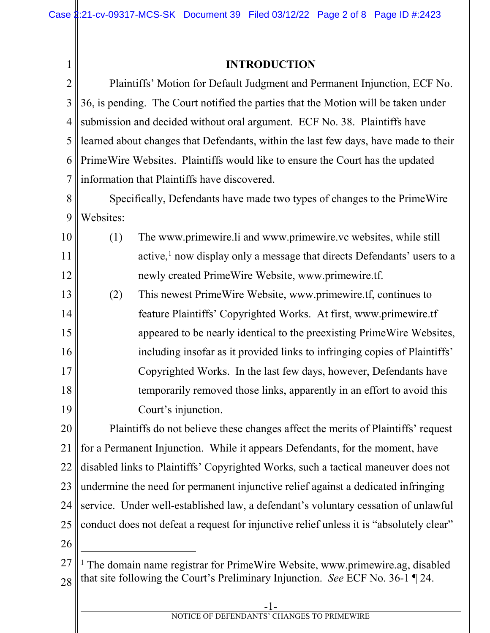| $\mathbf{1}$   |                                                                                         | <b>INTRODUCTION</b>                                                                 |  |  |  |  |
|----------------|-----------------------------------------------------------------------------------------|-------------------------------------------------------------------------------------|--|--|--|--|
| $\overline{2}$ | Plaintiffs' Motion for Default Judgment and Permanent Injunction, ECF No.               |                                                                                     |  |  |  |  |
| 3              | 36, is pending. The Court notified the parties that the Motion will be taken under      |                                                                                     |  |  |  |  |
| 4              | submission and decided without oral argument. ECF No. 38. Plaintiffs have               |                                                                                     |  |  |  |  |
| 5              | learned about changes that Defendants, within the last few days, have made to their     |                                                                                     |  |  |  |  |
| 6              | Prime Wire Websites. Plaintiffs would like to ensure the Court has the updated          |                                                                                     |  |  |  |  |
| $\overline{7}$ | information that Plaintiffs have discovered.                                            |                                                                                     |  |  |  |  |
| 8              | Specifically, Defendants have made two types of changes to the Prime Wire               |                                                                                     |  |  |  |  |
| 9              | Websites:                                                                               |                                                                                     |  |  |  |  |
| 10             | (1)                                                                                     | The www.primewire.li and www.primewire.vc websites, while still                     |  |  |  |  |
| 11             |                                                                                         | active, <sup>1</sup> now display only a message that directs Defendants' users to a |  |  |  |  |
| 12             |                                                                                         | newly created PrimeWire Website, www.primewire.tf.                                  |  |  |  |  |
| 13             | (2)                                                                                     | This newest Prime Wire Website, www.primewire.tf, continues to                      |  |  |  |  |
| 14             |                                                                                         | feature Plaintiffs' Copyrighted Works. At first, www.primewire.tf                   |  |  |  |  |
| 15             |                                                                                         | appeared to be nearly identical to the preexisting Prime Wire Websites,             |  |  |  |  |
| 16             |                                                                                         | including insofar as it provided links to infringing copies of Plaintiffs'          |  |  |  |  |
| 17             |                                                                                         | Copyrighted Works. In the last few days, however, Defendants have                   |  |  |  |  |
| 18             |                                                                                         | temporarily removed those links, apparently in an effort to avoid this              |  |  |  |  |
| 19             |                                                                                         | Court's injunction.                                                                 |  |  |  |  |
| 20             |                                                                                         | Plaintiffs do not believe these changes affect the merits of Plaintiffs' request    |  |  |  |  |
| 21             |                                                                                         | for a Permanent Injunction. While it appears Defendants, for the moment, have       |  |  |  |  |
| 22             | disabled links to Plaintiffs' Copyrighted Works, such a tactical maneuver does not      |                                                                                     |  |  |  |  |
| 23             | undermine the need for permanent injunctive relief against a dedicated infringing       |                                                                                     |  |  |  |  |
| 24             | service. Under well-established law, a defendant's voluntary cessation of unlawful      |                                                                                     |  |  |  |  |
| 25             | conduct does not defeat a request for injunctive relief unless it is "absolutely clear" |                                                                                     |  |  |  |  |
| 26             |                                                                                         |                                                                                     |  |  |  |  |
| 27             |                                                                                         | The domain name registrar for PrimeWire Website, www.primewire.ag, disabled         |  |  |  |  |
| 28             | that site following the Court's Preliminary Injunction. See ECF No. 36-1 $\P$ 24.       |                                                                                     |  |  |  |  |
|                |                                                                                         |                                                                                     |  |  |  |  |

## <span id="page-1-0"></span>NOTICE OF DEFENDANTS' CHANGES TO PRIMEWIRE

-1-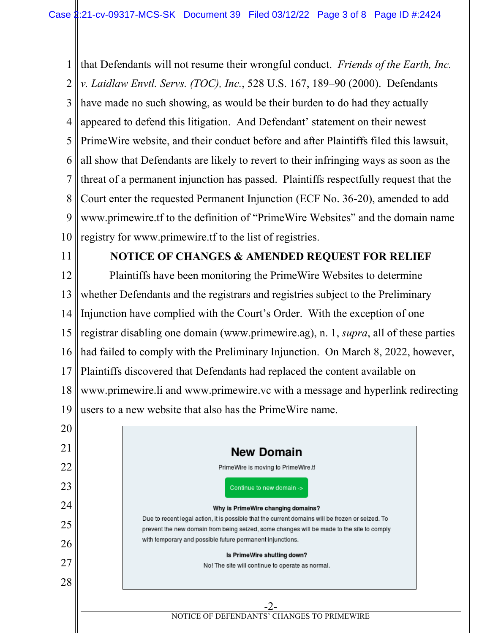1 2 3 4 5 6 7 8 9 10 that Defendants will not resume their wrongful conduct. *Friends of the Earth, Inc. v. Laidlaw Envtl. Servs. (TOC), Inc.*, 528 U.S. 167, 189–90 (2000). Defendants have made no such showing, as would be their burden to do had they actually appeared to defend this litigation. And Defendant' statement on their newest PrimeWire website, and their conduct before and after Plaintiffs filed this lawsuit, all show that Defendants are likely to revert to their infringing ways as soon as the threat of a permanent injunction has passed. Plaintiffs respectfully request that the Court enter the requested Permanent Injunction (ECF No. 36-20), amended to add www.primewire.tf to the definition of "PrimeWire Websites" and the domain name registry for www.primewire.tf to the list of registries.

11

## **NOTICE OF CHANGES & AMENDED REQUEST FOR RELIEF**

12 13 14 15 16 17 18 19 Plaintiffs have been monitoring the PrimeWire Websites to determine whether Defendants and the registrars and registries subject to the Preliminary Injunction have complied with the Court's Order. With the exception of one registrar disabling one domain (www.primewire.ag), n. 1, *supra*, all of these parties had failed to comply with the Preliminary Injunction. On March 8, 2022, however, Plaintiffs discovered that Defendants had replaced the content available on www.primewire.li and www.primewire.vc with a message and hyperlink redirecting users to a new website that also has the PrimeWire name.

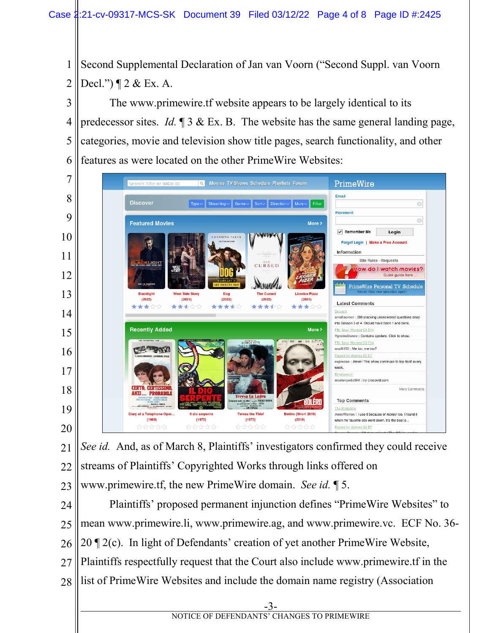Second Supplemental Declaration of Jan van Voorn ("Second Suppl. van Voorn Decl.") ¶ 2 & Ex. A.

 The www.primewire.tf website appears to be largely identical to its predecessor sites. *Id.* ¶ 3 & Ex. B. The website has the same general landing page, categories, movie and television show title pages, search functionality, and other features as were located on the other PrimeWire Websites:



 *See id.* And, as of March 8, Plaintiffs' investigators confirmed they could receive streams of Plaintiffs' Copyrighted Works through links offered on www.primewire.tf, the new PrimeWire domain. *See id.* ¶ 5.

 Plaintiffs' proposed permanent injunction defines "PrimeWire Websites" to mean www.primewire.li, www.primewire.ag, and www.primewire.vc. ECF No. 36- 20 ¶ 2(c). In light of Defendants' creation of yet another PrimeWire Website, Plaintiffs respectfully request that the Court also include www.primewire.tf in the list of PrimeWire Websites and include the domain name registry (Association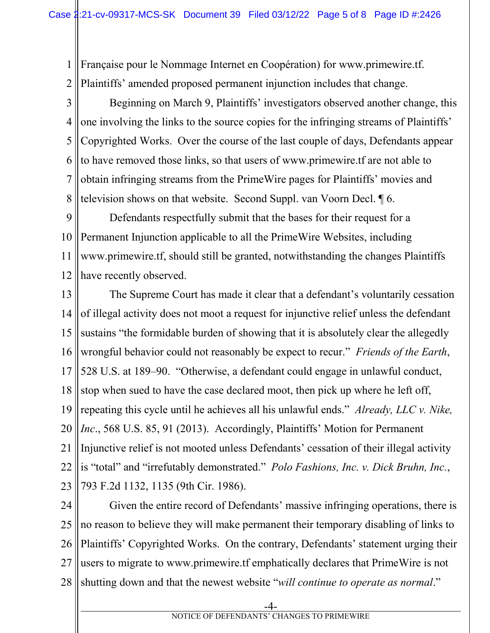1 2 Française pour le Nommage Internet en Coopération) for www.primewire.tf. Plaintiffs' amended proposed permanent injunction includes that change.

3 4 5 6 7 8 Beginning on March 9, Plaintiffs' investigators observed another change, this one involving the links to the source copies for the infringing streams of Plaintiffs' Copyrighted Works. Over the course of the last couple of days, Defendants appear to have removed those links, so that users of www.primewire.tf are not able to obtain infringing streams from the PrimeWire pages for Plaintiffs' movies and television shows on that website. Second Suppl. van Voorn Decl. ¶ 6.

9 10 11 12 Defendants respectfully submit that the bases for their request for a Permanent Injunction applicable to all the PrimeWire Websites, including www.primewire.tf, should still be granted, notwithstanding the changes Plaintiffs have recently observed.

13 14 15 16 17 18 19 20 21 22 23 The Supreme Court has made it clear that a defendant's voluntarily cessation of illegal activity does not moot a request for injunctive relief unless the defendant sustains "the formidable burden of showing that it is absolutely clear the allegedly wrongful behavior could not reasonably be expect to recur." *Friends of the Earth*, 528 U.S. at 189–90. "Otherwise, a defendant could engage in unlawful conduct, stop when sued to have the case declared moot, then pick up where he left off, repeating this cycle until he achieves all his unlawful ends." *Already, LLC v. Nike, Inc*., 568 U.S. 85, 91 (2013). Accordingly, Plaintiffs' Motion for Permanent Injunctive relief is not mooted unless Defendants' cessation of their illegal activity is "total" and "irrefutably demonstrated." *Polo Fashions, Inc. v. Dick Bruhn, Inc.*, 793 F.2d 1132, 1135 (9th Cir. 1986).

24 25 26 27 28 Given the entire record of Defendants' massive infringing operations, there is no reason to believe they will make permanent their temporary disabling of links to Plaintiffs' Copyrighted Works. On the contrary, Defendants' statement urging their users to migrate to www.primewire.tf emphatically declares that PrimeWire is not shutting down and that the newest website "*will continue to operate as normal*."

-4-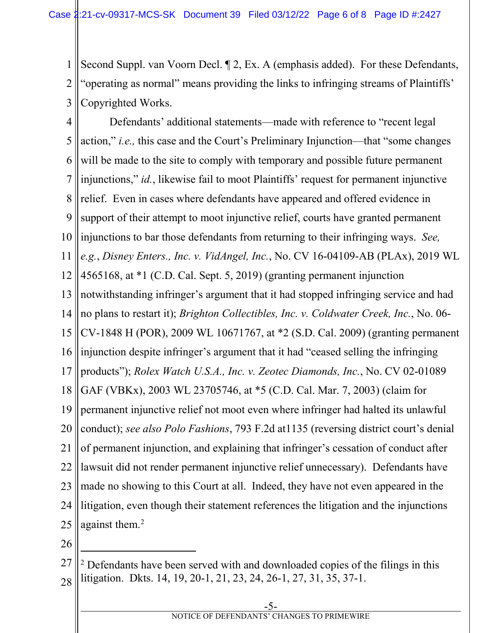1 2 3 Second Suppl. van Voorn Decl. ¶ 2, Ex. A (emphasis added). For these Defendants, "operating as normal" means providing the links to infringing streams of Plaintiffs' Copyrighted Works.

4 5 6 7 8 9 10 11 12 13 14 15 16 17 18 19 20 21 22 23 24 25 Defendants' additional statements—made with reference to "recent legal action," *i.e.,* this case and the Court's Preliminary Injunction—that "some changes will be made to the site to comply with temporary and possible future permanent injunctions," *id.*, likewise fail to moot Plaintiffs' request for permanent injunctive relief. Even in cases where defendants have appeared and offered evidence in support of their attempt to moot injunctive relief, courts have granted permanent injunctions to bar those defendants from returning to their infringing ways. *See, e.g.*, *Disney Enters., Inc. v. VidAngel, Inc.*, No. CV 16-04109-AB (PLAx), 2019 WL 4565168, at \*1 (C.D. Cal. Sept. 5, 2019) (granting permanent injunction notwithstanding infringer's argument that it had stopped infringing service and had no plans to restart it); *Brighton Collectibles, Inc. v. Coldwater Creek, Inc.*, No. 06- CV-1848 H (POR), 2009 WL 10671767, at \*2 (S.D. Cal. 2009) (granting permanent injunction despite infringer's argument that it had "ceased selling the infringing products"); *Rolex Watch U.S.A., Inc. v. Zeotec Diamonds, Inc.*, No. CV 02-01089 GAF (VBKx), 2003 WL 23705746, at \*5 (C.D. Cal. Mar. 7, 2003) (claim for permanent injunctive relief not moot even where infringer had halted its unlawful conduct); *see also Polo Fashions*, 793 F.2d at1135 (reversing district court's denial of permanent injunction, and explaining that infringer's cessation of conduct after lawsuit did not render permanent injunctive relief unnecessary). Defendants have made no showing to this Court at all. Indeed, they have not even appeared in the litigation, even though their statement references the litigation and the injunctions against them.<sup>[2](#page-5-0)</sup>

26

<span id="page-5-0"></span><sup>27</sup> 28  $2^2$  Defendants have been served with and downloaded copies of the filings in this litigation. Dkts. 14, 19, 20-1, 21, 23, 24, 26-1, 27, 31, 35, 37-1.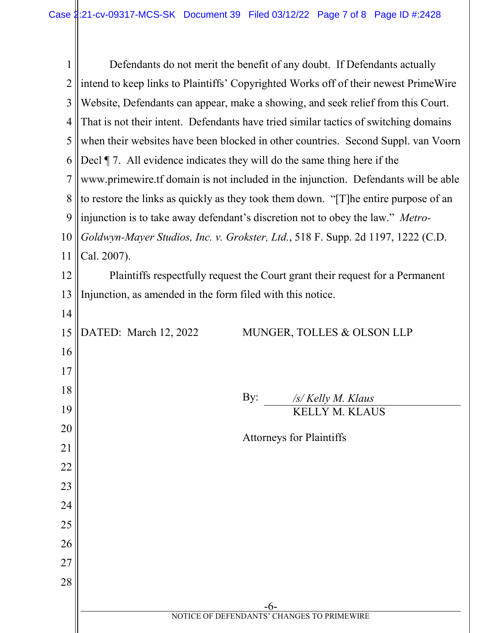| $\mathbf{1}$   | Defendants do not merit the benefit of any doubt. If Defendants actually             |  |  |  |  |  |
|----------------|--------------------------------------------------------------------------------------|--|--|--|--|--|
| $\overline{2}$ | intend to keep links to Plaintiffs' Copyrighted Works off of their newest Prime Wire |  |  |  |  |  |
| 3              | Website, Defendants can appear, make a showing, and seek relief from this Court.     |  |  |  |  |  |
| 4              | That is not their intent. Defendants have tried similar tactics of switching domains |  |  |  |  |  |
| 5              | when their websites have been blocked in other countries. Second Suppl. van Voorn    |  |  |  |  |  |
| 6              | Decl $\P$ 7. All evidence indicates they will do the same thing here if the          |  |  |  |  |  |
| 7              | www.primewire.tf domain is not included in the injunction. Defendants will be able   |  |  |  |  |  |
| 8              | to restore the links as quickly as they took them down. "[T] he entire purpose of an |  |  |  |  |  |
| 9              | injunction is to take away defendant's discretion not to obey the law." Metro-       |  |  |  |  |  |
| 10             | Goldwyn-Mayer Studios, Inc. v. Grokster, Ltd., 518 F. Supp. 2d 1197, 1222 (C.D.      |  |  |  |  |  |
| 11             | Cal. 2007).                                                                          |  |  |  |  |  |
| 12             | Plaintiffs respectfully request the Court grant their request for a Permanent        |  |  |  |  |  |
| 13             | Injunction, as amended in the form filed with this notice.                           |  |  |  |  |  |
| 14             |                                                                                      |  |  |  |  |  |
| 15             | DATED: March 12, 2022<br>MUNGER, TOLLES & OLSON LLP                                  |  |  |  |  |  |
| 16             |                                                                                      |  |  |  |  |  |
| 17             |                                                                                      |  |  |  |  |  |
| 18             | By:<br>/s/ Kelly M. Klaus                                                            |  |  |  |  |  |
| 19             | KELLY M. KLAUS                                                                       |  |  |  |  |  |
| 20             | <b>Attorneys for Plaintiffs</b>                                                      |  |  |  |  |  |
| 21             |                                                                                      |  |  |  |  |  |
| 22             |                                                                                      |  |  |  |  |  |
| 23             |                                                                                      |  |  |  |  |  |
| 24             |                                                                                      |  |  |  |  |  |
| 25             |                                                                                      |  |  |  |  |  |
| 26             |                                                                                      |  |  |  |  |  |
| 27             |                                                                                      |  |  |  |  |  |
| 28             |                                                                                      |  |  |  |  |  |
|                | -6-<br>NOTICE OF DEFENDANTS' CHANGES TO PRIMEWIRE                                    |  |  |  |  |  |
|                |                                                                                      |  |  |  |  |  |